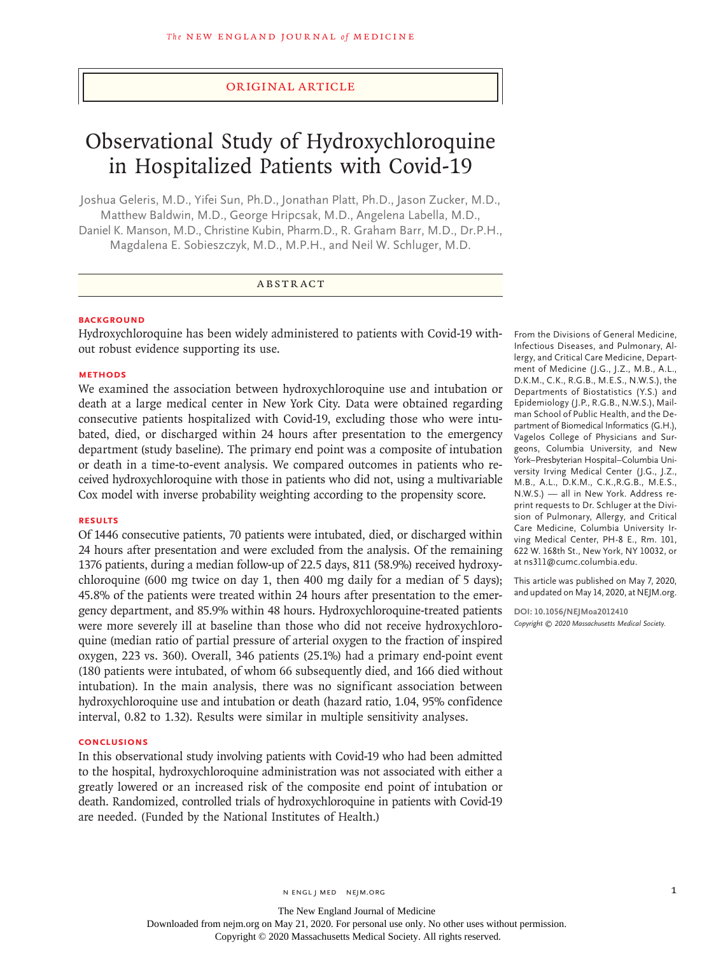## Original Article

# Observational Study of Hydroxychloroquine in Hospitalized Patients with Covid-19

Joshua Geleris, M.D., Yifei Sun, Ph.D., Jonathan Platt, Ph.D., Jason Zucker, M.D., Matthew Baldwin, M.D., George Hripcsak, M.D., Angelena Labella, M.D., Daniel K. Manson, M.D., Christine Kubin, Pharm.D., R. Graham Barr, M.D., Dr.P.H., Magdalena E. Sobieszczyk, M.D., M.P.H., and Neil W. Schluger, M.D.

# ABSTRACT

### **BACKGROUND**

Hydroxychloroquine has been widely administered to patients with Covid-19 without robust evidence supporting its use.

#### **METHODS**

We examined the association between hydroxychloroquine use and intubation or death at a large medical center in New York City. Data were obtained regarding consecutive patients hospitalized with Covid-19, excluding those who were intubated, died, or discharged within 24 hours after presentation to the emergency department (study baseline). The primary end point was a composite of intubation or death in a time-to-event analysis. We compared outcomes in patients who received hydroxychloroquine with those in patients who did not, using a multivariable Cox model with inverse probability weighting according to the propensity score.

#### **RESULTS**

Of 1446 consecutive patients, 70 patients were intubated, died, or discharged within 24 hours after presentation and were excluded from the analysis. Of the remaining 1376 patients, during a median follow-up of 22.5 days, 811 (58.9%) received hydroxychloroquine (600 mg twice on day 1, then 400 mg daily for a median of 5 days); 45.8% of the patients were treated within 24 hours after presentation to the emergency department, and 85.9% within 48 hours. Hydroxychloroquine-treated patients were more severely ill at baseline than those who did not receive hydroxychloroquine (median ratio of partial pressure of arterial oxygen to the fraction of inspired oxygen, 223 vs. 360). Overall, 346 patients (25.1%) had a primary end-point event (180 patients were intubated, of whom 66 subsequently died, and 166 died without intubation). In the main analysis, there was no significant association between hydroxychloroquine use and intubation or death (hazard ratio, 1.04, 95% confidence interval, 0.82 to 1.32). Results were similar in multiple sensitivity analyses.

### **CONCLUSIONS**

In this observational study involving patients with Covid-19 who had been admitted to the hospital, hydroxychloroquine administration was not associated with either a greatly lowered or an increased risk of the composite end point of intubation or death. Randomized, controlled trials of hydroxychloroquine in patients with Covid-19 are needed. (Funded by the National Institutes of Health.)

From the Divisions of General Medicine, Infectious Diseases, and Pulmonary, Allergy, and Critical Care Medicine, Department of Medicine (J.G., J.Z., M.B., A.L., D.K.M., C.K., R.G.B., M.E.S., N.W.S.), the Departments of Biostatistics (Y.S.) and Epidemiology (J.P., R.G.B., N.W.S.), Mailman School of Public Health, and the Department of Biomedical Informatics (G.H.), Vagelos College of Physicians and Surgeons, Columbia University, and New York–Presbyterian Hospital–Columbia University Irving Medical Center (J.G., J.Z., M.B., A.L., D.K.M., C.K.,R.G.B., M.E.S., N.W.S.) — all in New York. Address reprint requests to Dr. Schluger at the Division of Pulmonary, Allergy, and Critical Care Medicine, Columbia University Irving Medical Center, PH-8 E., Rm. 101, 622 W. 168th St., New York, NY 10032, or at ns311@cumc.columbia.edu.

This article was published on May 7, 2020, and updated on May 14, 2020, at NEJM.org.

**DOI: 10.1056/NEJMoa2012410** *Copyright © 2020 Massachusetts Medical Society.*

The New England Journal of Medicine Downloaded from nejm.org on May 21, 2020. For personal use only. No other uses without permission. Copyright © 2020 Massachusetts Medical Society. All rights reserved.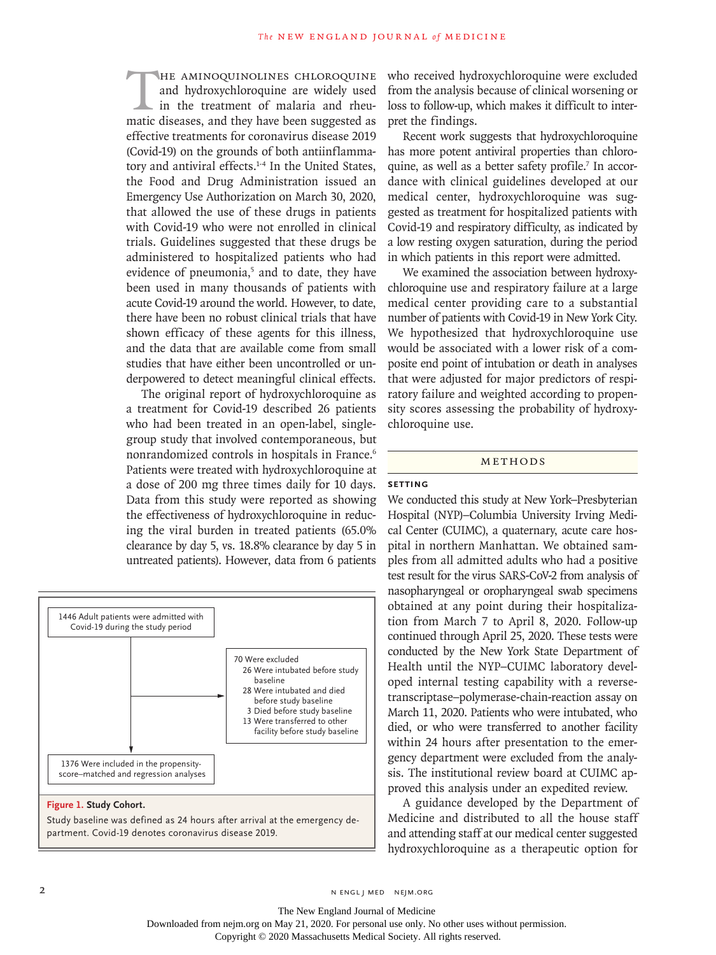The AMINOQUINOLINES CHLOROQUINE<br>and hydroxychloroquine are widely used<br>in the treatment of malaria and rheu-<br>matic diseases, and they have been suggested as and hydroxychloroquine are widely used in the treatment of malaria and rheumatic diseases, and they have been suggested as effective treatments for coronavirus disease 2019 (Covid-19) on the grounds of both antiinflammatory and antiviral effects.<sup>1-4</sup> In the United States, the Food and Drug Administration issued an Emergency Use Authorization on March 30, 2020, that allowed the use of these drugs in patients with Covid-19 who were not enrolled in clinical trials. Guidelines suggested that these drugs be administered to hospitalized patients who had evidence of pneumonia,<sup>5</sup> and to date, they have been used in many thousands of patients with acute Covid-19 around the world. However, to date, there have been no robust clinical trials that have shown efficacy of these agents for this illness, and the data that are available come from small studies that have either been uncontrolled or underpowered to detect meaningful clinical effects.

The original report of hydroxychloroquine as a treatment for Covid-19 described 26 patients who had been treated in an open-label, singlegroup study that involved contemporaneous, but nonrandomized controls in hospitals in France.<sup>6</sup> Patients were treated with hydroxychloroquine at a dose of 200 mg three times daily for 10 days. Data from this study were reported as showing the effectiveness of hydroxychloroquine in reducing the viral burden in treated patients (65.0% clearance by day 5, vs. 18.8% clearance by day 5 in untreated patients). However, data from 6 patients



Study baseline was defined as 24 hours after arrival at the emergency department. Covid-19 denotes coronavirus disease 2019.

who received hydroxychloroquine were excluded from the analysis because of clinical worsening or loss to follow-up, which makes it difficult to interpret the findings.

Recent work suggests that hydroxychloroquine has more potent antiviral properties than chloroquine, as well as a better safety profile.<sup>7</sup> In accordance with clinical guidelines developed at our medical center, hydroxychloroquine was suggested as treatment for hospitalized patients with Covid-19 and respiratory difficulty, as indicated by a low resting oxygen saturation, during the period in which patients in this report were admitted.

We examined the association between hydroxychloroquine use and respiratory failure at a large medical center providing care to a substantial number of patients with Covid-19 in New York City. We hypothesized that hydroxychloroquine use would be associated with a lower risk of a composite end point of intubation or death in analyses that were adjusted for major predictors of respiratory failure and weighted according to propensity scores assessing the probability of hydroxychloroquine use.

## Methods

# **Setting**

We conducted this study at New York–Presbyterian Hospital (NYP)–Columbia University Irving Medical Center (CUIMC), a quaternary, acute care hospital in northern Manhattan. We obtained samples from all admitted adults who had a positive test result for the virus SARS-CoV-2 from analysis of nasopharyngeal or oropharyngeal swab specimens obtained at any point during their hospitalization from March 7 to April 8, 2020. Follow-up continued through April 25, 2020. These tests were conducted by the New York State Department of Health until the NYP–CUIMC laboratory developed internal testing capability with a reversetranscriptase–polymerase-chain-reaction assay on March 11, 2020. Patients who were intubated, who died, or who were transferred to another facility within 24 hours after presentation to the emergency department were excluded from the analysis. The institutional review board at CUIMC approved this analysis under an expedited review.

A guidance developed by the Department of Medicine and distributed to all the house staff and attending staff at our medical center suggested hydroxychloroquine as a therapeutic option for

2 N ENGL J MED NEJM.ORG

The New England Journal of Medicine Downloaded from nejm.org on May 21, 2020. For personal use only. No other uses without permission.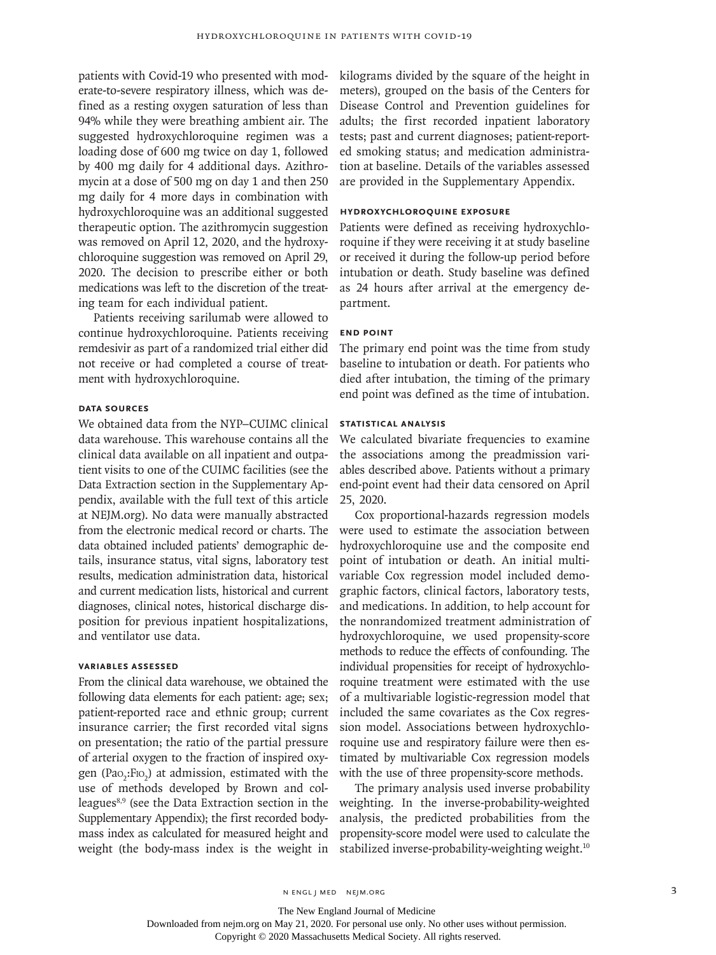patients with Covid-19 who presented with moderate-to-severe respiratory illness, which was defined as a resting oxygen saturation of less than 94% while they were breathing ambient air. The suggested hydroxychloroquine regimen was a loading dose of 600 mg twice on day 1, followed by 400 mg daily for 4 additional days. Azithromycin at a dose of 500 mg on day 1 and then 250 mg daily for 4 more days in combination with hydroxychloroquine was an additional suggested therapeutic option. The azithromycin suggestion was removed on April 12, 2020, and the hydroxychloroquine suggestion was removed on April 29, 2020. The decision to prescribe either or both medications was left to the discretion of the treating team for each individual patient.

Patients receiving sarilumab were allowed to continue hydroxychloroquine. Patients receiving remdesivir as part of a randomized trial either did not receive or had completed a course of treatment with hydroxychloroquine.

## **Data Sources**

We obtained data from the NYP–CUIMC clinical data warehouse. This warehouse contains all the clinical data available on all inpatient and outpatient visits to one of the CUIMC facilities (see the Data Extraction section in the Supplementary Appendix, available with the full text of this article at NEJM.org). No data were manually abstracted from the electronic medical record or charts. The data obtained included patients' demographic details, insurance status, vital signs, laboratory test results, medication administration data, historical and current medication lists, historical and current diagnoses, clinical notes, historical discharge disposition for previous inpatient hospitalizations, and ventilator use data.

## **Variables Assessed**

From the clinical data warehouse, we obtained the following data elements for each patient: age; sex; patient-reported race and ethnic group; current insurance carrier; the first recorded vital signs on presentation; the ratio of the partial pressure of arterial oxygen to the fraction of inspired oxygen (Pao<sub>2</sub>:F<sub>IO<sub>2</sub>) at admission, estimated with the</sub> use of methods developed by Brown and colleagues<sup>8,9</sup> (see the Data Extraction section in the Supplementary Appendix); the first recorded bodymass index as calculated for measured height and weight (the body-mass index is the weight in

kilograms divided by the square of the height in meters), grouped on the basis of the Centers for Disease Control and Prevention guidelines for adults; the first recorded inpatient laboratory tests; past and current diagnoses; patient-reported smoking status; and medication administration at baseline. Details of the variables assessed are provided in the Supplementary Appendix.

## **Hydroxychloroquine Exposure**

Patients were defined as receiving hydroxychloroquine if they were receiving it at study baseline or received it during the follow-up period before intubation or death. Study baseline was defined as 24 hours after arrival at the emergency department.

## **End Point**

The primary end point was the time from study baseline to intubation or death. For patients who died after intubation, the timing of the primary end point was defined as the time of intubation.

## **Statistical Analysis**

We calculated bivariate frequencies to examine the associations among the preadmission variables described above. Patients without a primary end-point event had their data censored on April 25, 2020.

Cox proportional-hazards regression models were used to estimate the association between hydroxychloroquine use and the composite end point of intubation or death. An initial multivariable Cox regression model included demographic factors, clinical factors, laboratory tests, and medications. In addition, to help account for the nonrandomized treatment administration of hydroxychloroquine, we used propensity-score methods to reduce the effects of confounding. The individual propensities for receipt of hydroxychloroquine treatment were estimated with the use of a multivariable logistic-regression model that included the same covariates as the Cox regression model. Associations between hydroxychloroquine use and respiratory failure were then estimated by multivariable Cox regression models with the use of three propensity-score methods.

The primary analysis used inverse probability weighting. In the inverse-probability-weighted analysis, the predicted probabilities from the propensity-score model were used to calculate the stabilized inverse-probability-weighting weight.<sup>10</sup>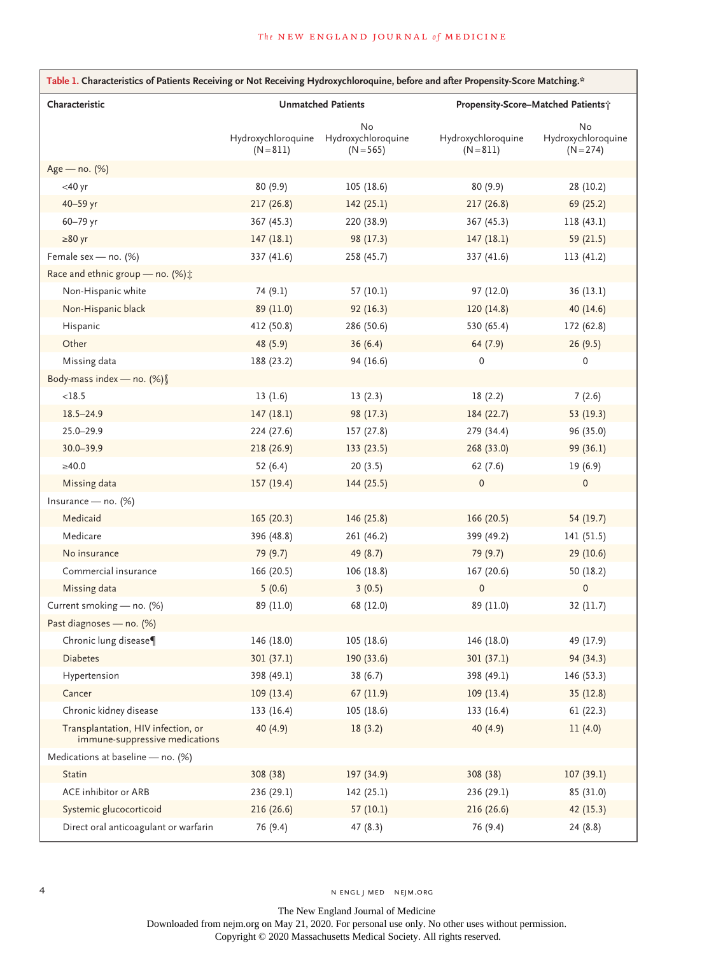| Table 1. Characteristics of Patients Receiving or Not Receiving Hydroxychloroquine, before and after Propensity-Score Matching.* |             |                                                            |                                   |                                         |  |  |
|----------------------------------------------------------------------------------------------------------------------------------|-------------|------------------------------------------------------------|-----------------------------------|-----------------------------------------|--|--|
| Characteristic                                                                                                                   |             | <b>Unmatched Patients</b>                                  |                                   | Propensity-Score-Matched Patients;      |  |  |
|                                                                                                                                  | $(N = 811)$ | No<br>Hydroxychloroquine Hydroxychloroquine<br>$(N = 565)$ | Hydroxychloroquine<br>$(N = 811)$ | No<br>Hydroxychloroquine<br>$(N = 274)$ |  |  |
| Age - no. (%)                                                                                                                    |             |                                                            |                                   |                                         |  |  |
| $<$ 40 yr                                                                                                                        | 80 (9.9)    | 105(18.6)                                                  | 80(9.9)                           | 28 (10.2)                               |  |  |
| 40-59 yr                                                                                                                         | 217 (26.8)  | 142(25.1)                                                  | 217(26.8)                         | 69 (25.2)                               |  |  |
| 60-79 yr                                                                                                                         | 367 (45.3)  | 220 (38.9)                                                 | 367 (45.3)                        | 118 (43.1)                              |  |  |
| $\geq 80$ yr                                                                                                                     | 147(18.1)   | 98 (17.3)                                                  | 147(18.1)                         | 59 (21.5)                               |  |  |
| Female sex - no. (%)                                                                                                             | 337 (41.6)  | 258 (45.7)                                                 | 337 (41.6)                        | 113 (41.2)                              |  |  |
| Race and ethnic group - no. (%) :                                                                                                |             |                                                            |                                   |                                         |  |  |
| Non-Hispanic white                                                                                                               | 74 (9.1)    | 57 (10.1)                                                  | 97 (12.0)                         | 36(13.1)                                |  |  |
| Non-Hispanic black                                                                                                               | 89 (11.0)   | 92(16.3)                                                   | 120(14.8)                         | 40 $(14.6)$                             |  |  |
| Hispanic                                                                                                                         | 412 (50.8)  | 286 (50.6)                                                 | 530 (65.4)                        | 172 (62.8)                              |  |  |
| Other                                                                                                                            | 48 (5.9)    | 36(6.4)                                                    | 64(7.9)                           | 26(9.5)                                 |  |  |
| Missing data                                                                                                                     | 188 (23.2)  | 94 (16.6)                                                  | 0                                 | 0                                       |  |  |
| Body-mass index - no. (%) §                                                                                                      |             |                                                            |                                   |                                         |  |  |
| <18.5                                                                                                                            | 13(1.6)     | 13(2.3)                                                    | 18(2.2)                           | 7(2.6)                                  |  |  |
| $18.5 - 24.9$                                                                                                                    | 147(18.1)   | 98 (17.3)                                                  | 184 (22.7)                        | 53 (19.3)                               |  |  |
| $25.0 - 29.9$                                                                                                                    | 224 (27.6)  | 157 (27.8)                                                 | 279 (34.4)                        | 96 (35.0)                               |  |  |
| $30.0 - 39.9$                                                                                                                    | 218 (26.9)  | 133 (23.5)                                                 | 268 (33.0)                        | 99 (36.1)                               |  |  |
| ≥40.0                                                                                                                            | 52(6.4)     | 20(3.5)                                                    | 62(7.6)                           | 19(6.9)                                 |  |  |
| Missing data                                                                                                                     | 157(19.4)   | 144 (25.5)                                                 | $\pmb{0}$                         | $\pmb{0}$                               |  |  |
| Insurance - no. $(\%)$                                                                                                           |             |                                                            |                                   |                                         |  |  |
| Medicaid                                                                                                                         | 165 (20.3)  | 146 (25.8)                                                 | 166 (20.5)                        | 54 (19.7)                               |  |  |
| Medicare                                                                                                                         | 396 (48.8)  | 261 (46.2)                                                 | 399 (49.2)                        | 141 (51.5)                              |  |  |
| No insurance                                                                                                                     | 79 (9.7)    | 49 (8.7)                                                   | 79 (9.7)                          | 29(10.6)                                |  |  |
| Commercial insurance                                                                                                             | 166 (20.5)  | 106 (18.8)                                                 | 167 (20.6)                        | 50 (18.2)                               |  |  |
| Missing data                                                                                                                     | 5(0.6)      | 3(0.5)                                                     | $\mathsf{O}\xspace$               | $\mathsf{O}\xspace$                     |  |  |
| Current smoking - no. (%)                                                                                                        | 89 (11.0)   | 68 (12.0)                                                  | 89 (11.0)                         | 32 (11.7)                               |  |  |
| Past diagnoses - no. (%)                                                                                                         |             |                                                            |                                   |                                         |  |  |
| Chronic lung disease¶                                                                                                            | 146 (18.0)  | 105 (18.6)                                                 | 146 (18.0)                        | 49 (17.9)                               |  |  |
| <b>Diabetes</b>                                                                                                                  | 301 (37.1)  | 190 (33.6)                                                 | 301 (37.1)                        | 94 (34.3)                               |  |  |
| Hypertension                                                                                                                     | 398 (49.1)  | 38(6.7)                                                    | 398 (49.1)                        | 146 (53.3)                              |  |  |
| Cancer                                                                                                                           | 109(13.4)   | 67 (11.9)                                                  | 109(13.4)                         | 35 (12.8)                               |  |  |
| Chronic kidney disease                                                                                                           | 133 (16.4)  | 105 (18.6)                                                 | 133 (16.4)                        | 61(22.3)                                |  |  |
| Transplantation, HIV infection, or<br>immune-suppressive medications                                                             | 40 (4.9)    | 18(3.2)                                                    | 40(4.9)                           | 11(4.0)                                 |  |  |
| Medications at baseline - no. (%)                                                                                                |             |                                                            |                                   |                                         |  |  |
| Statin                                                                                                                           | 308 (38)    | 197 (34.9)                                                 | 308 (38)                          | 107(39.1)                               |  |  |
| ACE inhibitor or ARB                                                                                                             | 236 (29.1)  | 142 (25.1)                                                 | 236 (29.1)                        | 85 (31.0)                               |  |  |
| Systemic glucocorticoid                                                                                                          | 216(26.6)   | 57(10.1)                                                   | 216(26.6)                         | 42 (15.3)                               |  |  |
| Direct oral anticoagulant or warfarin                                                                                            | 76 (9.4)    | 47(8.3)                                                    | 76 (9.4)                          | 24 (8.8)                                |  |  |

The New England Journal of Medicine Downloaded from nejm.org on May 21, 2020. For personal use only. No other uses without permission.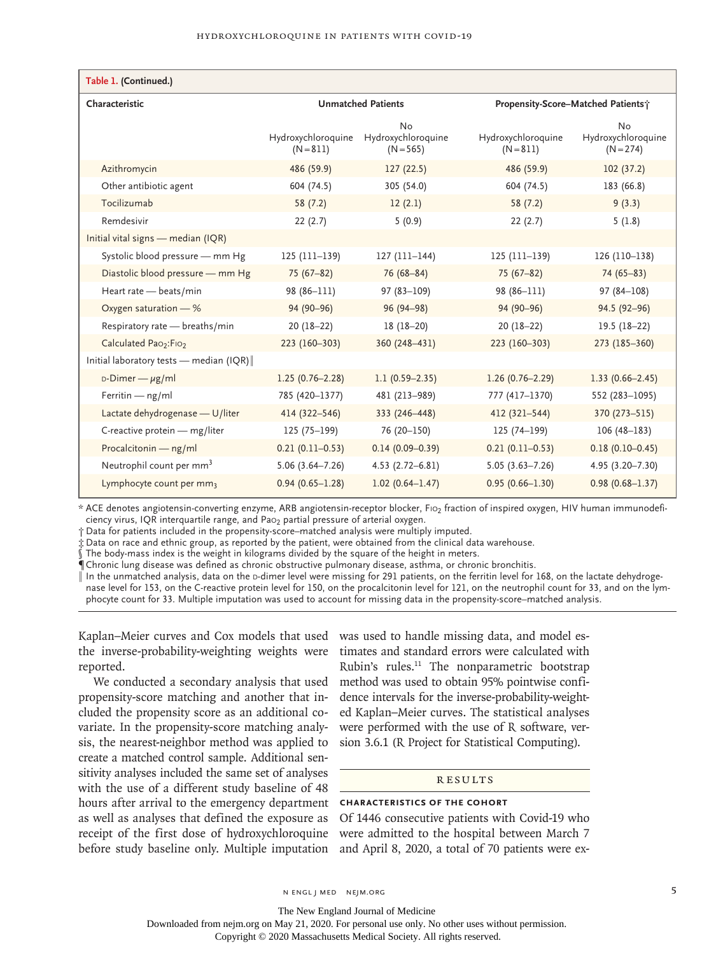| Table 1. (Continued.)                         |                                   |                                         |                                    |                                         |  |  |
|-----------------------------------------------|-----------------------------------|-----------------------------------------|------------------------------------|-----------------------------------------|--|--|
| Characteristic                                | <b>Unmatched Patients</b>         |                                         | Propensity-Score-Matched Patients; |                                         |  |  |
|                                               | Hydroxychloroquine<br>$(N = 811)$ | No<br>Hydroxychloroquine<br>$(N = 565)$ | Hydroxychloroquine<br>$(N = 811)$  | No<br>Hydroxychloroquine<br>$(N = 274)$ |  |  |
| Azithromycin                                  | 486 (59.9)                        | 127(22.5)                               | 486 (59.9)                         | 102(37.2)                               |  |  |
| Other antibiotic agent                        | 604 (74.5)                        | 305 (54.0)                              | 604 (74.5)                         | 183 (66.8)                              |  |  |
| Tocilizumab                                   | 58(7.2)                           | 12(2.1)                                 | 58(7.2)                            | 9(3.3)                                  |  |  |
| Remdesivir                                    | 22(2.7)                           | 5(0.9)                                  | 22(2.7)                            | 5(1.8)                                  |  |  |
| Initial vital signs - median (IQR)            |                                   |                                         |                                    |                                         |  |  |
| Systolic blood pressure - mm Hg               | $125(111-139)$                    | $127(111-144)$                          | $125(111-139)$                     | 126 (110-138)                           |  |  |
| Diastolic blood pressure - mm Hg              | $75(67-82)$                       | $76(68 - 84)$                           | $75(67-82)$                        | $74(65 - 83)$                           |  |  |
| Heart rate - beats/min                        | 98 (86-111)                       | $97(83 - 109)$                          | 98 (86-111)                        | $97(84 - 108)$                          |  |  |
| Oxygen saturation - %                         | 94 (90-96)                        | 96 (94-98)                              | 94 (90-96)                         | 94.5 (92-96)                            |  |  |
| Respiratory rate - breaths/min                | $20(18-22)$                       | $18(18-20)$                             | $20(18-22)$                        | $19.5(18-22)$                           |  |  |
| Calculated Pao <sub>2</sub> :Fio <sub>2</sub> | 223 (160-303)                     | 360 (248-431)                           | 223 (160-303)                      | 273 (185-360)                           |  |  |
| Initial laboratory tests - median (IQR)       |                                   |                                         |                                    |                                         |  |  |
| $D$ -Dimer — $\mu$ g/ml                       | $1.25(0.76 - 2.28)$               | $1.1(0.59 - 2.35)$                      | $1.26(0.76 - 2.29)$                | $1.33(0.66 - 2.45)$                     |  |  |
| Ferritin $-$ ng/ml                            | 785 (420-1377)                    | 481 (213-989)                           | 777 (417-1370)                     | 552 (283-1095)                          |  |  |
| Lactate dehydrogenase - U/liter               | 414 (322-546)                     | 333 (246-448)                           | 412 (321-544)                      | 370 (273-515)                           |  |  |
| C-reactive protein - mg/liter                 | $125(75-199)$                     | 76 (20-150)                             | $125(74-199)$                      | $106(48-183)$                           |  |  |
| Procalcitonin - ng/ml                         | $0.21(0.11-0.53)$                 | $0.14(0.09 - 0.39)$                     | $0.21(0.11-0.53)$                  | $0.18(0.10 - 0.45)$                     |  |  |
| Neutrophil count per mm <sup>3</sup>          | $5.06(3.64 - 7.26)$               | $4.53(2.72 - 6.81)$                     | $5.05(3.63 - 7.26)$                | 4.95 (3.20-7.30)                        |  |  |
| Lymphocyte count per mm3                      | $0.94(0.65 - 1.28)$               | $1.02(0.64 - 1.47)$                     | $0.95(0.66 - 1.30)$                | $0.98(0.68 - 1.37)$                     |  |  |

\* ACE denotes angiotensin-converting enzyme, ARB angiotensin-receptor blocker, Fio<sub>2</sub> fraction of inspired oxygen, HIV human immunodeficiency virus, IQR interquartile range, and Pao<sub>2</sub> partial pressure of arterial oxygen.

† Data for patients included in the propensity-score–matched analysis were multiply imputed.

‡ Data on race and ethnic group, as reported by the patient, were obtained from the clinical data warehouse.

The body-mass index is the weight in kilograms divided by the square of the height in meters.

¶ Chronic lung disease was defined as chronic obstructive pulmonary disease, asthma, or chronic bronchitis.

In the unmatched analysis, data on the p-dimer level were missing for 291 patients, on the ferritin level for 168, on the lactate dehydrogenase level for 153, on the C-reactive protein level for 150, on the procalcitonin level for 121, on the neutrophil count for 33, and on the lymphocyte count for 33. Multiple imputation was used to account for missing data in the propensity-score–matched analysis.

Kaplan–Meier curves and Cox models that used was used to handle missing data, and model esthe inverse-probability-weighting weights were reported.

We conducted a secondary analysis that used propensity-score matching and another that included the propensity score as an additional covariate. In the propensity-score matching analysis, the nearest-neighbor method was applied to create a matched control sample. Additional sensitivity analyses included the same set of analyses with the use of a different study baseline of 48 hours after arrival to the emergency department as well as analyses that defined the exposure as receipt of the first dose of hydroxychloroquine before study baseline only. Multiple imputation

timates and standard errors were calculated with Rubin's rules.<sup>11</sup> The nonparametric bootstrap method was used to obtain 95% pointwise confidence intervals for the inverse-probability-weighted Kaplan–Meier curves. The statistical analyses were performed with the use of R software, version 3.6.1 (R Project for Statistical Computing).

## **RESULTS**

### **Characteristics of the Cohort**

Of 1446 consecutive patients with Covid-19 who were admitted to the hospital between March 7 and April 8, 2020, a total of 70 patients were ex-

The New England Journal of Medicine

Downloaded from nejm.org on May 21, 2020. For personal use only. No other uses without permission.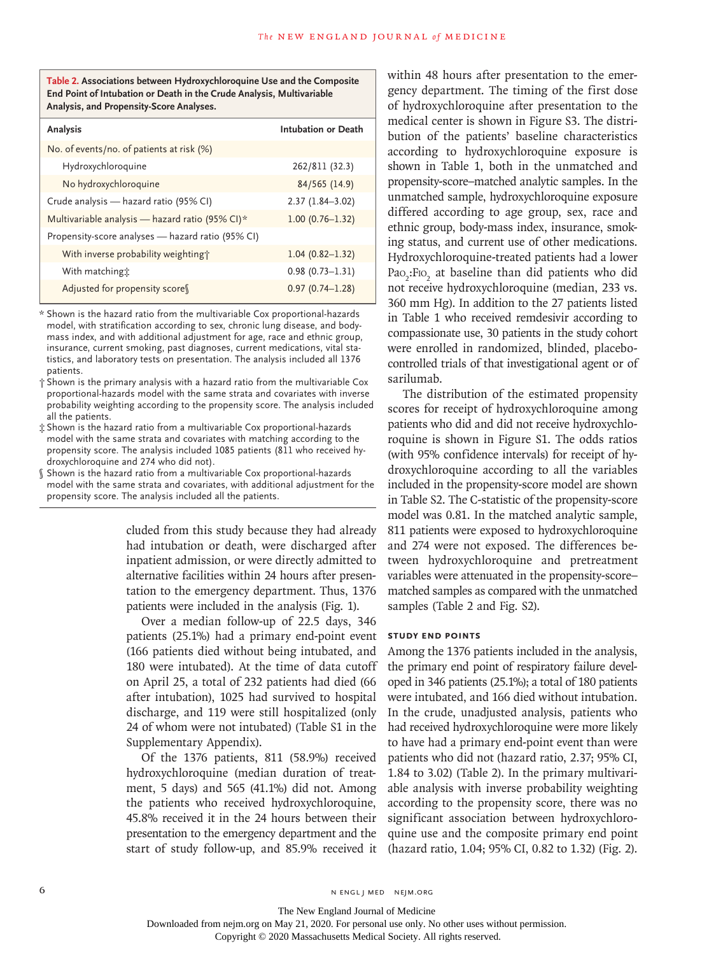**Table 2. Associations between Hydroxychloroquine Use and the Composite End Point of Intubation or Death in the Crude Analysis, Multivariable Analysis, and Propensity-Score Analyses.**

| Analysis                                          | Intubation or Death |
|---------------------------------------------------|---------------------|
| No. of events/no. of patients at risk (%)         |                     |
| Hydroxychloroquine                                | 262/811 (32.3)      |
| No hydroxychloroquine                             | 84/565 (14.9)       |
| Crude analysis - hazard ratio (95% CI)            | $2.37(1.84 - 3.02)$ |
| Multivariable analysis — hazard ratio (95% CI)*   | $1.00(0.76 - 1.32)$ |
| Propensity-score analyses - hazard ratio (95% CI) |                     |
| With inverse probability weighting;               | $1.04(0.82 - 1.32)$ |
| With matching:                                    | $0.98(0.73 - 1.31)$ |
| Adjusted for propensity score                     | $0.97(0.74 - 1.28)$ |

\* Shown is the hazard ratio from the multivariable Cox proportional-hazards model, with stratification according to sex, chronic lung disease, and bodymass index, and with additional adjustment for age, race and ethnic group, insurance, current smoking, past diagnoses, current medications, vital statistics, and laboratory tests on presentation. The analysis included all 1376 patients.

- † Shown is the primary analysis with a hazard ratio from the multivariable Cox proportional-hazards model with the same strata and covariates with inverse probability weighting according to the propensity score. The analysis included all the patients.
- ‡ Shown is the hazard ratio from a multivariable Cox proportional-hazards model with the same strata and covariates with matching according to the propensity score. The analysis included 1085 patients (811 who received hydroxychloroquine and 274 who did not).
- § Shown is the hazard ratio from a multivariable Cox proportional-hazards model with the same strata and covariates, with additional adjustment for the propensity score. The analysis included all the patients.

cluded from this study because they had already had intubation or death, were discharged after inpatient admission, or were directly admitted to alternative facilities within 24 hours after presentation to the emergency department. Thus, 1376 patients were included in the analysis (Fig. 1).

Over a median follow-up of 22.5 days, 346 patients (25.1%) had a primary end-point event (166 patients died without being intubated, and 180 were intubated). At the time of data cutoff on April 25, a total of 232 patients had died (66 after intubation), 1025 had survived to hospital discharge, and 119 were still hospitalized (only 24 of whom were not intubated) (Table S1 in the Supplementary Appendix).

Of the 1376 patients, 811 (58.9%) received hydroxychloroquine (median duration of treatment, 5 days) and 565 (41.1%) did not. Among the patients who received hydroxychloroquine, 45.8% received it in the 24 hours between their presentation to the emergency department and the start of study follow-up, and 85.9% received it within 48 hours after presentation to the emergency department. The timing of the first dose of hydroxychloroquine after presentation to the medical center is shown in Figure S3. The distribution of the patients' baseline characteristics according to hydroxychloroquine exposure is shown in Table 1, both in the unmatched and propensity-score–matched analytic samples. In the unmatched sample, hydroxychloroquine exposure differed according to age group, sex, race and ethnic group, body-mass index, insurance, smoking status, and current use of other medications. Hydroxychloroquine-treated patients had a lower Pao<sub>2</sub>:Fio<sub>2</sub> at baseline than did patients who did not receive hydroxychloroquine (median, 233 vs. 360 mm Hg). In addition to the 27 patients listed in Table 1 who received remdesivir according to compassionate use, 30 patients in the study cohort were enrolled in randomized, blinded, placebocontrolled trials of that investigational agent or of sarilumab.

The distribution of the estimated propensity scores for receipt of hydroxychloroquine among patients who did and did not receive hydroxychloroquine is shown in Figure S1. The odds ratios (with 95% confidence intervals) for receipt of hydroxychloroquine according to all the variables included in the propensity-score model are shown in Table S2. The C-statistic of the propensity-score model was 0.81. In the matched analytic sample, 811 patients were exposed to hydroxychloroquine and 274 were not exposed. The differences between hydroxychloroquine and pretreatment variables were attenuated in the propensity-score– matched samples as compared with the unmatched samples (Table 2 and Fig. S2).

## **Study End Points**

Among the 1376 patients included in the analysis, the primary end point of respiratory failure developed in 346 patients (25.1%); a total of 180 patients were intubated, and 166 died without intubation. In the crude, unadjusted analysis, patients who had received hydroxychloroquine were more likely to have had a primary end-point event than were patients who did not (hazard ratio, 2.37; 95% CI, 1.84 to 3.02) (Table 2). In the primary multivariable analysis with inverse probability weighting according to the propensity score, there was no significant association between hydroxychloroquine use and the composite primary end point (hazard ratio, 1.04; 95% CI, 0.82 to 1.32) (Fig. 2).

The New England Journal of Medicine Downloaded from nejm.org on May 21, 2020. For personal use only. No other uses without permission.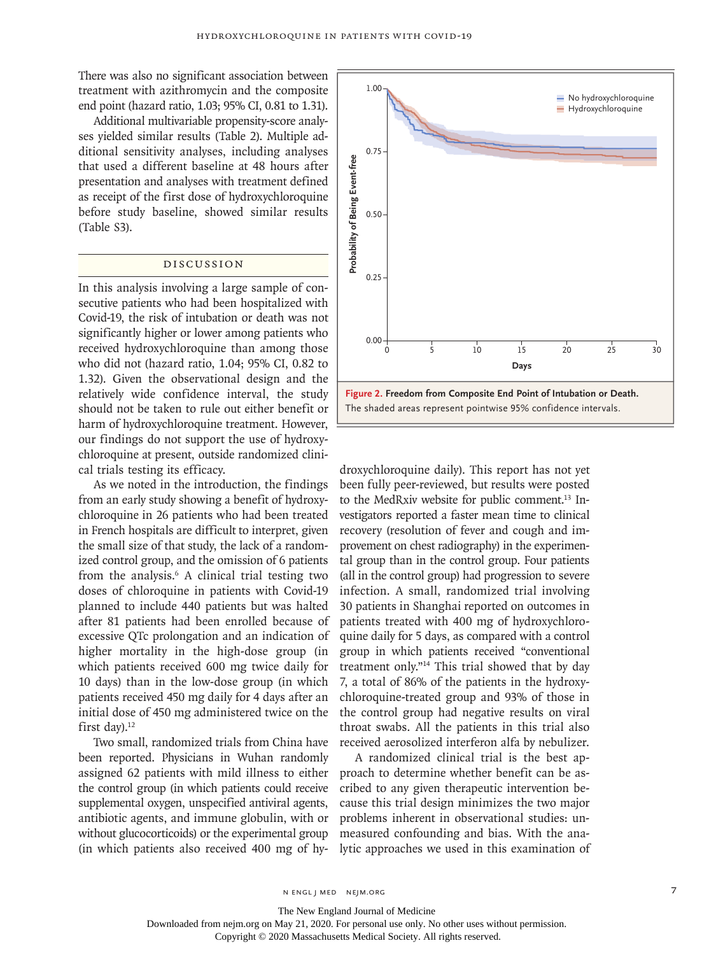There was also no significant association between treatment with azithromycin and the composite end point (hazard ratio, 1.03; 95% CI, 0.81 to 1.31).

Additional multivariable propensity-score analyses yielded similar results (Table 2). Multiple additional sensitivity analyses, including analyses that used a different baseline at 48 hours after presentation and analyses with treatment defined as receipt of the first dose of hydroxychloroquine before study baseline, showed similar results (Table S3).

## Discussion

In this analysis involving a large sample of consecutive patients who had been hospitalized with Covid-19, the risk of intubation or death was not significantly higher or lower among patients who received hydroxychloroquine than among those who did not (hazard ratio, 1.04; 95% CI, 0.82 to 1.32). Given the observational design and the relatively wide confidence interval, the study should not be taken to rule out either benefit or harm of hydroxychloroquine treatment. However, our findings do not support the use of hydroxychloroquine at present, outside randomized clinical trials testing its efficacy.

As we noted in the introduction, the findings from an early study showing a benefit of hydroxychloroquine in 26 patients who had been treated in French hospitals are difficult to interpret, given the small size of that study, the lack of a randomized control group, and the omission of 6 patients from the analysis.<sup>6</sup> A clinical trial testing two doses of chloroquine in patients with Covid-19 planned to include 440 patients but was halted after 81 patients had been enrolled because of excessive QTc prolongation and an indication of higher mortality in the high-dose group (in which patients received 600 mg twice daily for 10 days) than in the low-dose group (in which patients received 450 mg daily for 4 days after an initial dose of 450 mg administered twice on the first day). $12$ 

been reported. Physicians in Wuhan randomly assigned 62 patients with mild illness to either the control group (in which patients could receive supplemental oxygen, unspecified antiviral agents, antibiotic agents, and immune globulin, with or without glucocorticoids) or the experimental group (in which patients also received 400 mg of hy-



Two small, randomized trials from China have received aerosolized interferon alfa by nebulizer. droxychloroquine daily). This report has not yet been fully peer-reviewed, but results were posted to the MedRxiv website for public comment.<sup>13</sup> Investigators reported a faster mean time to clinical recovery (resolution of fever and cough and improvement on chest radiography) in the experimental group than in the control group. Four patients (all in the control group) had progression to severe infection. A small, randomized trial involving 30 patients in Shanghai reported on outcomes in patients treated with 400 mg of hydroxychloroquine daily for 5 days, as compared with a control group in which patients received "conventional treatment only."14 This trial showed that by day 7, a total of 86% of the patients in the hydroxychloroquine-treated group and 93% of those in the control group had negative results on viral throat swabs. All the patients in this trial also

> A randomized clinical trial is the best approach to determine whether benefit can be ascribed to any given therapeutic intervention because this trial design minimizes the two major problems inherent in observational studies: unmeasured confounding and bias. With the analytic approaches we used in this examination of

The New England Journal of Medicine

Downloaded from nejm.org on May 21, 2020. For personal use only. No other uses without permission.